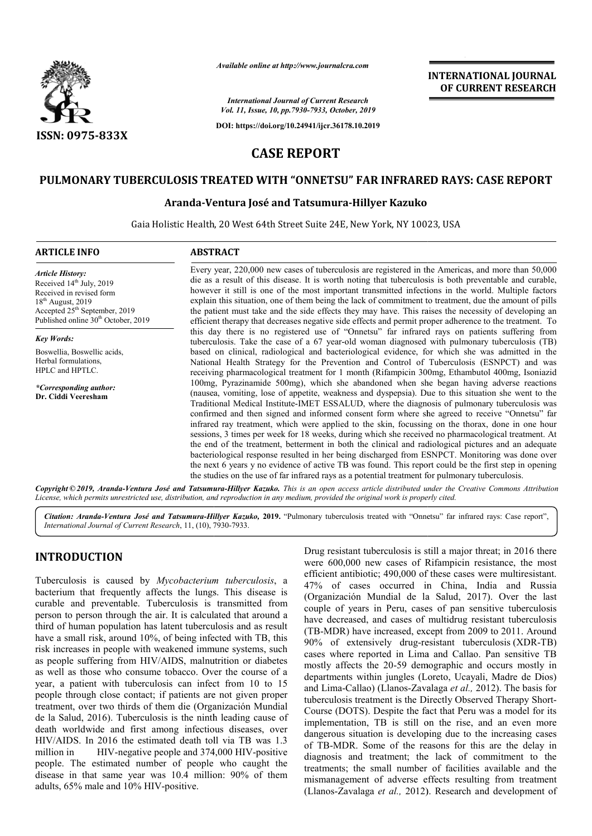

*Available online at http://www.journalcra.com*

*International Journal of Current Research Vol. 11, Issue, 10, pp.7930-7933, October, 2019*

**DOI: https://doi.org/10.24941/ijcr.36178.10.2019**

# **INTERNATIONAL JOURNAL OF CURRENT RESEARCH**

**CASE REPORT**

# **PULMONARY TUBERCULOSIS TREATED WITH "ONNETSU" FAR INFRARED RAYS: CASE REPORT**

### **Aranda-Ventura José Ventura and Tatsumura-Hillyer Kazuko**

Gaia Holistic Health, 20 West 64th Street Suite 24E, New York, NY 10023, USA

#### **ARTICLE INFO ABSTRACT**

*Article History:* Received  $14<sup>th</sup>$  July, 2019 Received in revised form 18th August, 2019 Accepted 25<sup>th</sup> September, 2019 Published online 30<sup>th</sup> October, 2019 *Key Words:* Boswellia, Boswellic acids, Herbal formulations, HPLC and HPTLC. *\*Corresponding author:*  **Dr. Ciddi Veeresham**

Every year, 220,000 new cases of tuberculosis are registered in the Americas, and more than 50,000 die as a result of this disease. It is worth noting that tuberculosis is both preventable and curable, however it still is one of the most important transmitted infections in the world. Multiple factors explain this situation, one of them being the lack of commitment to treatment, due the amount of pills the patient must take and the side effects they may have. This raises the necessity of developing an efficient therapy that decreases negative side effects and permit proper adherence to the treatment. To this day there is no registered use of "Onnetsu" far infrared rays on patients suffering from tuberculosis. Take the case of a 67 year-old woman diagnosed with pulmonary tuberculosis (TB) based on clinical, radiological and bacteriological evidence, for which she was admitted in the Nation National Health Strategy for the Prevention and Control of Tuberculosis (ESNPCT) and was receiving pharmacological treatment for 1 month (Rifampicin 300mg, Ethambutol 400mg, Isoniazid 100mg, Pyrazinamide 500mg), which she abandoned when she began having adverse (nausea, vomiting, lose of appetite, weakness and dyspepsia). Due to this situation she went to the Traditional Medical Institute Institute-IMET ESSALUD, where the diagnosis of pulmonary tuberculosis was confirmed and then signed and informed consent form where she agreed to receive "Onnetsu" far infrared ray treatment, which were applied to the skin, focussing on the thorax, done in one hour sessions, 3 times per week for 18 weeks, during which she received no pharmacological treatment. At the end of the treatment, betterment in both the clinical and radiological pictures and an adequate bacteriological response resulted in her being discharged from ESNPCT. Monitoring was done over the next 6 years y no evidence of active TB was found. This report could be the first step in opening the studies on the use of far infrared rays as a potential treatment for pulmonary tuberculosis. Every year, 220,000 new cases of tuberculosis are registered in the Americas, and more than 50,000 die as a result of this disease. It is worth noting that tuberculosis is both preventable and curable, however it still is the patient must take and the side effects they may have. This raises the necessity of developing an efficient therapy that decreases negative side effects and permit proper adherence to the treatment. To this day there is (nausea, vomiting, lose of appetite, weakness and dyspepsia). Due to this situation she went to the Traditional Medical Institute-IMET ESSALUD, where the diagnosis of pulmonary tuberculosis was confirmed and then signed an

Copyright © 2019, Aranda-Ventura José and Tatsumura-Hillyer Kazuko. This is an open access article distributed under the Creative Commons Attribution License, which permits unrestricted use, distribution, and reproduction in any medium, provided the original work is properly cited.

Citation: Aranda-Ventura José and Tatsumura-Hillyer Kazuko, 2019. "Pulmonary tuberculosis treated with "Onnetsu" far infrared rays: Case report", *International Journal of Current Research*, 11, (10), 7930 7930-7933.

## **INTRODUCTION**

Tuberculosis is caused by *Mycobacterium tuberculosis* , a bacterium that frequently affects the lungs. This disease is curable and preventable. Tuberculosis is transmitted from person to person through the air. It is calculated that around a third of human population has latent tuberculosis and as result have a small risk, around 10%, of being infected with TB, this risk increases in people with weakened immune systems, such as people suffering from HIV/AIDS, malnutrition or diabetes as well as those who consume tobacco. Over the course of a year, a patient with tuberculosis can infect from 10 to 15 people through close contact; if patients are not given proper treatment, over two thirds of them die (Organización Mundial de la Salud, 2016). Tuberculosis is the ninth leading cause of death worldwide and first among infectious diseases, over HIV/AIDS. In 2016 the estimated death toll via TB was 1.3 million in HIV-negative people and 374,000 HIV-positive people. The estimated number of people who caught the disease in that same year was 10.4 million: 90% of them adults, 65% male and 10% HIV-positive. und 10%, of being infected with TB, this<br>le with weakened immune systems, such<br>rom HIV/AIDS, malnutrition or diabetes<br>consume tobacco. Over the course of a<br>tuberculosis can infect from 10 to 15<br>contact; if patients are not Drug resistant tuberculosis is still a major threat; in 2016 there were 600,000 new cases of Rifampicin resistance, the most efficient antibiotic; 490,000 of these cases were multiresistant. Drug resistant tuberculosis is still a major threat; in 2016 there were 600,000 new cases of Rifampicin resistance, the most efficient antibiotic; 490,000 of these cases were multiresistant.<br>47% of cases occurred in China, (Organización Mundial de la Salud Organización Salud, 2017). Over the last couple of years in Peru, cases of pan sensitive tuberculosis have decreased, and cases of multidrug resistant tuberculosis (TB-MDR) have increased, except from 2009 to 2011. Around 90% of extensively drug-resistant tuberculosis (XDR-TB) cases where reported in Lima and Callao. Pan sensitive TB mostly affects the 20-59 demographic and occurs mostly in departments within jungles (Loreto, Ucayali, Madre de Dios) cases where reported in Lima and Callao. Pan sensitive TB mostly affects the 20-59 demographic and occurs mostly in departments within jungles (Loreto, Ucayali, Madre de Dios) and Lima-Callao) (Llanos-Zavalaga *et al.*, 20 tuberculosis treatment is the Directly Observed Therapy Short-Course (DOTS). Despite the fact that Peru was a model for its implementation, TB is still on the rise, and an even more dangerous situation is developing due to the increasing cases of TB-MDR. Some of the reasons for this are the delay in diagnosis and treatment; the lack of commitment to the treatments; the small number of facilities available and the mismanagement of adverse effects resulting from treatment (Llanos-Zavalaga *et al.,* 2012). Research and development of le of years in Peru, cases of pan sensitive tuberculosis decreased, and cases of multidrug resistant tuberculosis (XDR) have increased, except from 2009 to 2011. Around of extensively drug-resistant tuberculosis (XDR-TB) INTERNATIONAL JOURNAL<br> *Recents*<br> **COF CURRENT RESEARCH<br>
Cordots, 2019**<br>
S6178.10.2019<br>
S6178.10.2019<br>
S6178.10.2019<br>
T<br>
TURE INTERARED RAYS: CASE REPORT<br>
TURE INTERARED RAYS: CASE REPORT<br>
TURE INTERARED RAYS: CASE REPORT<br>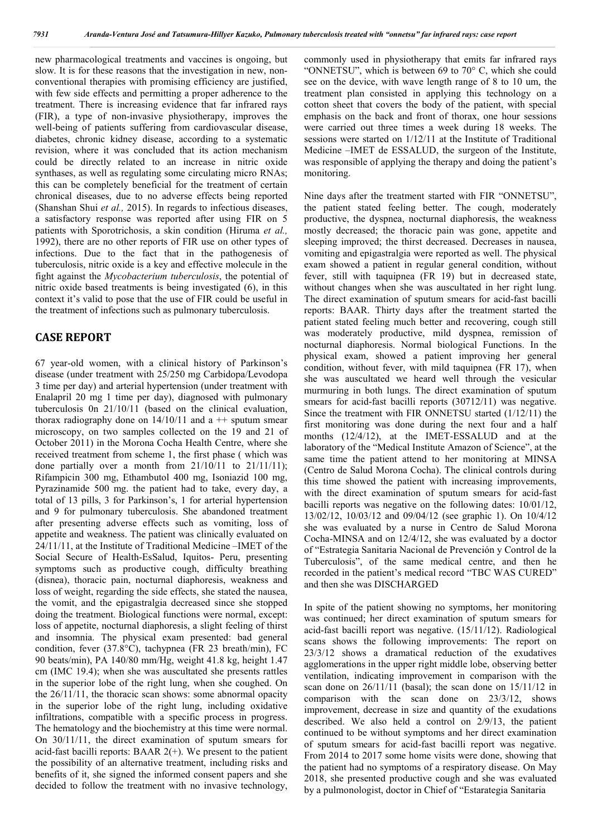new pharmacological treatments and vaccines is ongoing, but slow. It is for these reasons that the investigation in new, nonconventional therapies with promising efficiency are justified, with few side effects and permitting a proper adherence to the treatment. There is increasing evidence that far infrared rays (FIR), a type of non-invasive physiotherapy, improves the well-being of patients suffering from cardiovascular disease, diabetes, chronic kidney disease, according to a systematic revision, where it was concluded that its action mechanism could be directly related to an increase in nitric oxide synthases, as well as regulating some circulating micro RNAs; this can be completely beneficial for the treatment of certain chronical diseases, due to no adverse effects being reported (Shanshan Shui *et al.,* 2015). In regards to infectious diseases, a satisfactory response was reported after using FIR on 5 patients with Sporotrichosis, a skin condition (Hiruma *et al.,*  1992), there are no other reports of FIR use on other types of infections. Due to the fact that in the pathogenesis of tuberculosis, nitric oxide is a key and effective molecule in the fight against the *Mycobacterium tuberculosis*, the potential of nitric oxide based treatments is being investigated (6), in this context it's valid to pose that the use of FIR could be useful in the treatment of infections such as pulmonary tuberculosis.

## **CASE REPORT**

67 year-old women, with a clinical history of Parkinson's disease (under treatment with 25/250 mg Carbidopa/Levodopa 3 time per day) and arterial hypertension (under treatment with Enalapril 20 mg 1 time per day), diagnosed with pulmonary tuberculosis 0n 21/10/11 (based on the clinical evaluation, thorax radiography done on  $14/10/11$  and a  $++$  sputum smear microscopy, on two samples collected on the 19 and 21 of October 2011) in the Morona Cocha Health Centre, where she received treatment from scheme 1, the first phase ( which was done partially over a month from 21/10/11 to 21/11/11); Rifampicin 300 mg, Ethambutol 400 mg, Isoniazid 100 mg, Pyrazinamide 500 mg. the patient had to take, every day, a total of 13 pills, 3 for Parkinson's, 1 for arterial hypertension and 9 for pulmonary tuberculosis. She abandoned treatment after presenting adverse effects such as vomiting, loss of appetite and weakness. The patient was clinically evaluated on 24/11/11, at the Institute of Traditional Medicine –IMET of the Social Secure of Health-EsSalud, Iquitos- Peru, presenting symptoms such as productive cough, difficulty breathing (disnea), thoracic pain, nocturnal diaphoresis, weakness and loss of weight, regarding the side effects, she stated the nausea, the vomit, and the epigastralgia decreased since she stopped doing the treatment. Biological functions were normal, except: loss of appetite, nocturnal diaphoresis, a slight feeling of thirst and insomnia. The physical exam presented: bad general condition, fever (37.8°C), tachypnea (FR 23 breath/min), FC 90 beats/min), PA 140/80 mm/Hg, weight 41.8 kg, height 1.47 cm (IMC 19.4); when she was auscultated she presents rattles in the superior lobe of the right lung, when she coughed. On the 26/11/11, the thoracic scan shows: some abnormal opacity in the superior lobe of the right lung, including oxidative infiltrations, compatible with a specific process in progress. The hematology and the biochemistry at this time were normal. On 30/11/11, the direct examination of sputum smears for acid-fast bacilli reports: BAAR  $2(+)$ . We present to the patient the possibility of an alternative treatment, including risks and benefits of it, she signed the informed consent papers and she decided to follow the treatment with no invasive technology,

commonly used in physiotherapy that emits far infrared rays "ONNETSU", which is between 69 to 70° C, which she could see on the device, with wave length range of 8 to 10 um, the treatment plan consisted in applying this technology on a cotton sheet that covers the body of the patient, with special emphasis on the back and front of thorax, one hour sessions were carried out three times a week during 18 weeks. The sessions were started on 1/12/11 at the Institute of Traditional Medicine –IMET de ESSALUD, the surgeon of the Institute, was responsible of applying the therapy and doing the patient's monitoring.

Nine days after the treatment started with FIR "ONNETSU", the patient stated feeling better. The cough, moderately productive, the dyspnea, nocturnal diaphoresis, the weakness mostly decreased; the thoracic pain was gone, appetite and sleeping improved; the thirst decreased. Decreases in nausea, vomiting and epigastralgia were reported as well. The physical exam showed a patient in regular general condition, without fever, still with taquipnea (FR 19) but in decreased state, without changes when she was auscultated in her right lung. The direct examination of sputum smears for acid-fast bacilli reports: BAAR. Thirty days after the treatment started the patient stated feeling much better and recovering, cough still was moderately productive, mild dyspnea, remission of nocturnal diaphoresis. Normal biological Functions. In the physical exam, showed a patient improving her general condition, without fever, with mild taquipnea (FR 17), when she was auscultated we heard well through the vesicular murmuring in both lungs. The direct examination of sputum smears for acid-fast bacilli reports (30712/11) was negative. Since the treatment with FIR ONNETSU started (1/12/11) the first monitoring was done during the next four and a half months (12/4/12), at the IMET-ESSALUD and at the laboratory of the "Medical Institute Amazon of Science", at the same time the patient attend to her monitoring at MINSA (Centro de Salud Morona Cocha). The clinical controls during this time showed the patient with increasing improvements, with the direct examination of sputum smears for acid-fast bacilli reports was negative on the following dates: 10/01/12, 13/02/12, 10/03/12 and 09/04/12 (see graphic 1). On 10/4/12 she was evaluated by a nurse in Centro de Salud Morona Cocha-MINSA and on 12/4/12, she was evaluated by a doctor of "Estrategia Sanitaria Nacional de Prevención y Control de la Tuberculosis", of the same medical centre, and then he recorded in the patient's medical record "TBC WAS CURED" and then she was DISCHARGED

In spite of the patient showing no symptoms, her monitoring was continued; her direct examination of sputum smears for acid-fast bacilli report was negative. (15/11/12). Radiological scans shows the following improvements: The report on 23/3/12 shows a dramatical reduction of the exudatives agglomerations in the upper right middle lobe, observing better ventilation, indicating improvement in comparison with the scan done on 26/11/11 (basal); the scan done on 15/11/12 in comparison with the scan done on 23/3/12, shows improvement, decrease in size and quantity of the exudations described. We also held a control on 2/9/13, the patient continued to be without symptoms and her direct examination of sputum smears for acid-fast bacilli report was negative. From 2014 to 2017 some home visits were done, showing that the patient had no symptoms of a respiratory disease. On May 2018, she presented productive cough and she was evaluated by a pulmonologist, doctor in Chief of "Estarategia Sanitaria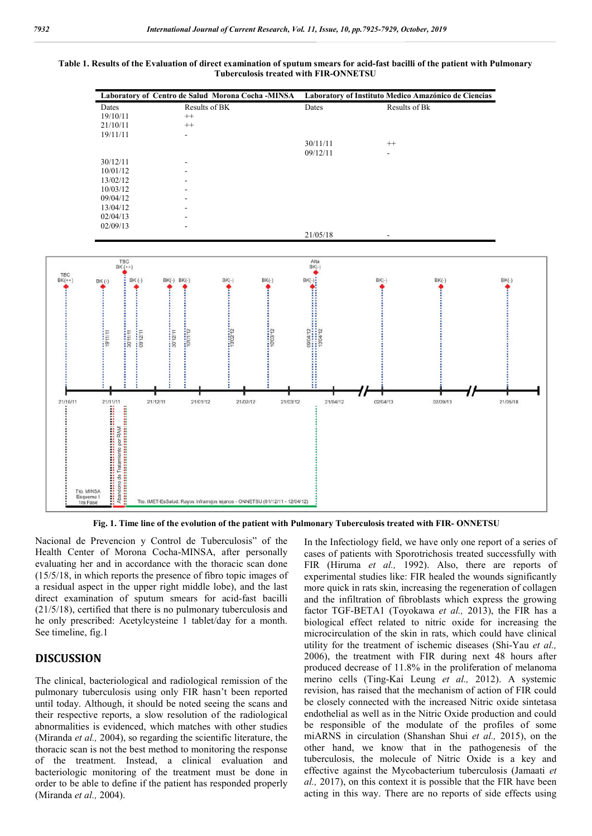

#### **Table 1. Results of the Evaluation of direct examination of sputum smears for acid-fast bacilli of the patient with Pulmonary Tuberculosis treated with FIR-ONNETSU**

**Fig. 1. Time line of the evolution of the patient with Pulmonary Tuberculosis treated with FIR- ONNETSU**

Nacional de Prevencion y Control de Tuberculosis" of the Health Center of Morona Cocha-MINSA, after personally evaluating her and in accordance with the thoracic scan done (15/5/18, in which reports the presence of fibro topic images of a residual aspect in the upper right middle lobe), and the last direct examination of sputum smears for acid-fast bacilli (21/5/18), certified that there is no pulmonary tuberculosis and he only prescribed: Acetylcysteine 1 tablet/day for a month. See timeline, fig.1

# **DISCUSSION**

The clinical, bacteriological and radiological remission of the pulmonary tuberculosis using only FIR hasn't been reported until today. Although, it should be noted seeing the scans and their respective reports, a slow resolution of the radiological abnormalities is evidenced, which matches with other studies (Miranda *et al.,* 2004), so regarding the scientific literature, the thoracic scan is not the best method to monitoring the response of the treatment. Instead, a clinical evaluation and bacteriologic monitoring of the treatment must be done in order to be able to define if the patient has responded properly (Miranda *et al.,* 2004).

In the Infectiology field, we have only one report of a series of cases of patients with Sporotrichosis treated successfully with FIR (Hiruma *et al.,* 1992). Also, there are reports of experimental studies like: FIR healed the wounds significantly more quick in rats skin, increasing the regeneration of collagen and the infiltration of fibroblasts which express the growing factor TGF-BETA1 (Toyokawa *et al.,* 2013), the FIR has a biological effect related to nitric oxide for increasing the microcirculation of the skin in rats, which could have clinical utility for the treatment of ischemic diseases (Shi-Yau *et al.,*  2006), the treatment with FIR during next 48 hours after produced decrease of 11.8% in the proliferation of melanoma merino cells (Ting-Kai Leung *et al.,* 2012). A systemic revision, has raised that the mechanism of action of FIR could be closely connected with the increased Nitric oxide sintetasa endothelial as well as in the Nitric Oxide production and could be responsible of the modulate of the profiles of some miARNS in circulation (Shanshan Shui *et al.,* 2015), on the other hand, we know that in the pathogenesis of the tuberculosis, the molecule of Nitric Oxide is a key and effective against the Mycobacterium tuberculosis (Jamaati *et al.,* 2017), on this context it is possible that the FIR have been acting in this way. There are no reports of side effects using